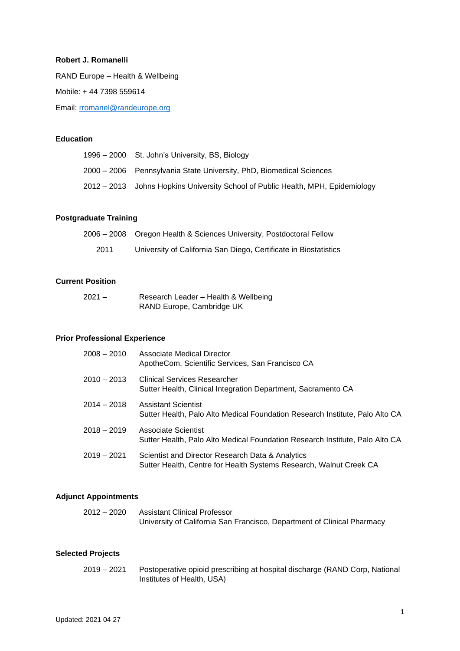### **Robert J. Romanelli**

RAND Europe – Health & Wellbeing

Mobile: + 44 7398 559614

Email: [rromanel@randeurope.org](mailto:rromanel@randeurope.org)

#### **Education**

| 1996 – 2000 St. John's University, BS, Biology                                  |
|---------------------------------------------------------------------------------|
| 2000 – 2006 Pennsylvania State University, PhD, Biomedical Sciences             |
| 2012 – 2013 Johns Hopkins University School of Public Health, MPH, Epidemiology |

# **Postgraduate Training**

|      | 2006 – 2008  Oregon Health & Sciences University, Postdoctoral Fellow |
|------|-----------------------------------------------------------------------|
| 2011 | University of California San Diego, Certificate in Biostatistics      |

### **Current Position**

| $2021 -$ | Research Leader – Health & Wellbeing |
|----------|--------------------------------------|
|          | RAND Europe, Cambridge UK            |

#### **Prior Professional Experience**

| $2008 - 2010$ | Associate Medical Director<br>ApotheCom, Scientific Services, San Francisco CA                                         |
|---------------|------------------------------------------------------------------------------------------------------------------------|
| $2010 - 2013$ | <b>Clinical Services Researcher</b><br>Sutter Health, Clinical Integration Department, Sacramento CA                   |
| $2014 - 2018$ | <b>Assistant Scientist</b><br>Sutter Health, Palo Alto Medical Foundation Research Institute, Palo Alto CA             |
| $2018 - 2019$ | Associate Scientist<br>Sutter Health, Palo Alto Medical Foundation Research Institute, Palo Alto CA                    |
| $2019 - 2021$ | Scientist and Director Research Data & Analytics<br>Sutter Health, Centre for Health Systems Research, Walnut Creek CA |

#### **Adjunct Appointments**

| 2012 – 2020 | Assistant Clinical Professor                                            |
|-------------|-------------------------------------------------------------------------|
|             | University of California San Francisco, Department of Clinical Pharmacy |

## **Selected Projects**

| 2019 – 2021 | Postoperative opioid prescribing at hospital discharge (RAND Corp, National |
|-------------|-----------------------------------------------------------------------------|
|             | Institutes of Health, USA)                                                  |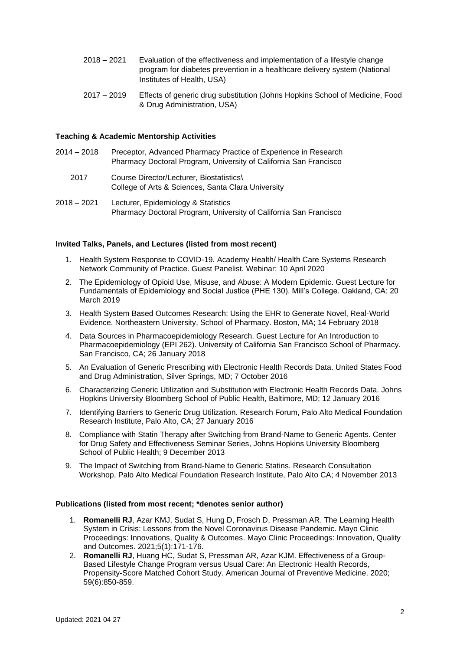- 2018 2021 Evaluation of the effectiveness and implementation of a lifestyle change program for diabetes prevention in a healthcare delivery system (National Institutes of Health, USA)
- 2017 2019 Effects of generic drug substitution (Johns Hopkins School of Medicine, Food & Drug Administration, USA)

#### **Teaching & Academic Mentorship Activities**

- 2014 2018 Preceptor, Advanced Pharmacy Practice of Experience in Research Pharmacy Doctoral Program, University of California San Francisco
	- 2017 Course Director/Lecturer, Biostatistics\ College of Arts & Sciences, Santa Clara University
- 2018 2021 Lecturer, Epidemiology & Statistics Pharmacy Doctoral Program, University of California San Francisco

#### **Invited Talks, Panels, and Lectures (listed from most recent)**

- 1. Health System Response to COVID-19. Academy Health/ Health Care Systems Research Network Community of Practice. Guest Panelist. Webinar: 10 April 2020
- 2. The Epidemiology of Opioid Use, Misuse, and Abuse: A Modern Epidemic. Guest Lecture for Fundamentals of Epidemiology and Social Justice (PHE 130). Mill's College. Oakland, CA: 20 March 2019
- 3. Health System Based Outcomes Research: Using the EHR to Generate Novel, Real-World Evidence. Northeastern University, School of Pharmacy. Boston, MA; 14 February 2018
- 4. Data Sources in Pharmacoepidemiology Research. Guest Lecture for An Introduction to Pharmacoepidemiology (EPI 262). University of California San Francisco School of Pharmacy. San Francisco, CA; 26 January 2018
- 5. An Evaluation of Generic Prescribing with Electronic Health Records Data. United States Food and Drug Administration, Silver Springs, MD; 7 October 2016
- 6. Characterizing Generic Utilization and Substitution with Electronic Health Records Data. Johns Hopkins University Bloomberg School of Public Health, Baltimore, MD; 12 January 2016
- 7. Identifying Barriers to Generic Drug Utilization. Research Forum, Palo Alto Medical Foundation Research Institute, Palo Alto, CA; 27 January 2016
- 8. Compliance with Statin Therapy after Switching from Brand-Name to Generic Agents. Center for Drug Safety and Effectiveness Seminar Series, Johns Hopkins University Bloomberg School of Public Health; 9 December 2013
- 9. The Impact of Switching from Brand-Name to Generic Statins. Research Consultation Workshop, Palo Alto Medical Foundation Research Institute, Palo Alto CA; 4 November 2013

#### **Publications (listed from most recent; \*denotes senior author)**

- 1. **Romanelli RJ**, Azar KMJ, Sudat S, Hung D, Frosch D, Pressman AR. The Learning Health System in Crisis: Lessons from the Novel Coronavirus Disease Pandemic. Mayo Clinic Proceedings: Innovations, Quality & Outcomes. Mayo Clinic Proceedings: Innovation, Quality and Outcomes. 2021;5(1):171-176.
- 2. **Romanelli RJ**, Huang HC, Sudat S, Pressman AR, Azar KJM. Effectiveness of a Group-Based Lifestyle Change Program versus Usual Care: An Electronic Health Records, Propensity-Score Matched Cohort Study. American Journal of Preventive Medicine. 2020; 59(6):850-859.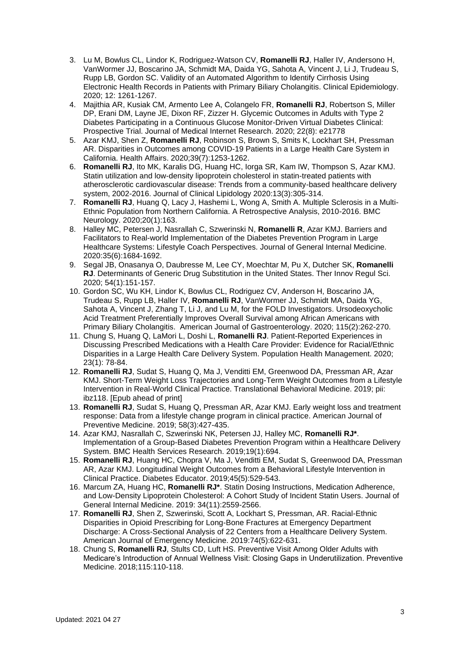- 3. Lu M, Bowlus CL, Lindor K, Rodriguez-Watson CV, **Romanelli RJ**, Haller IV, Andersono H, VanWormer JJ, Boscarino JA, Schmidt MA, Daida YG, Sahota A, Vincent J, Li J, Trudeau S, Rupp LB, Gordon SC. Validity of an Automated Algorithm to Identify Cirrhosis Using Electronic Health Records in Patients with Primary Biliary Cholangitis. Clinical Epidemiology. 2020; 12: 1261-1267.
- 4. Majithia AR, Kusiak CM, Armento Lee A, Colangelo FR, **Romanelli RJ**, Robertson S, Miller DP, Erani DM, Layne JE, Dixon RF, Zizzer H. Glycemic Outcomes in Adults with Type 2 Diabetes Participating in a Continuous Glucose Monitor-Driven Virtual Diabetes Clinical: Prospective Trial. Journal of Medical Internet Research. 2020; 22(8): e21778
- 5. Azar KMJ, Shen Z, **Romanelli RJ**, Robinson S, Brown S, Smits K, Lockhart SH, Pressman AR. Disparities in Outcomes among COVID-19 Patients in a Large Health Care System in California. Health Affairs. 2020;39(7):1253-1262.
- 6. **Romanelli RJ**, Ito MK, Karalis DG, Huang HC, Iorga SR, Kam IW, Thompson S, Azar KMJ. Statin utilization and low-density lipoprotein cholesterol in statin-treated patients with atherosclerotic cardiovascular disease: Trends from a community-based healthcare delivery system, 2002-2016. Journal of Clinical Lipidology 2020:13(3):305-314.
- 7. **Romanelli RJ**, Huang Q, Lacy J, Hashemi L, Wong A, Smith A. Multiple Sclerosis in a Multi-Ethnic Population from Northern California. A Retrospective Analysis, 2010-2016. BMC Neurology. 2020;20(1):163.
- 8. Halley MC, Petersen J, Nasrallah C, Szwerinski N, **Romanelli R**, Azar KMJ. Barriers and Facilitators to Real-world Implementation of the Diabetes Prevention Program in Large Healthcare Systems: Lifestyle Coach Perspectives. Journal of General Internal Medicine. 2020:35(6):1684-1692.
- 9. Segal JB, Onasanya O, Daubresse M, Lee CY, Moechtar M, Pu X, Dutcher SK, **Romanelli RJ**. Determinants of Generic Drug Substitution in the United States. Ther Innov Regul Sci. 2020; 54(1):151-157.
- 10. Gordon SC, Wu KH, Lindor K, Bowlus CL, Rodriguez CV, Anderson H, Boscarino JA, Trudeau S, Rupp LB, Haller IV, **Romanelli RJ**, VanWormer JJ, Schmidt MA, Daida YG, Sahota A, Vincent J, Zhang T, Li J, and Lu M, for the FOLD Investigators. Ursodeoxycholic Acid Treatment Preferentially Improves Overall Survival among African Americans with Primary Biliary Cholangitis. American Journal of Gastroenterology. 2020; 115(2):262-270.
- 11. Chung S, Huang Q, LaMori L, Doshi L, **Romanelli RJ**. Patient-Reported Experiences in Discussing Prescribed Medications with a Health Care Provider: Evidence for Racial/Ethnic Disparities in a Large Health Care Delivery System. Population Health Management. 2020; 23(1): 78-84.
- 12. **Romanelli RJ**, Sudat S, Huang Q, Ma J, Venditti EM, Greenwood DA, Pressman AR, Azar KMJ. Short-Term Weight Loss Trajectories and Long-Term Weight Outcomes from a Lifestyle Intervention in Real-World Clinical Practice. Translational Behavioral Medicine. 2019; pii: ibz118. [Epub ahead of print]
- 13. **Romanelli RJ**, Sudat S, Huang Q, Pressman AR, Azar KMJ. Early weight loss and treatment response: Data from a lifestyle change program in clinical practice. American Journal of Preventive Medicine. 2019; 58(3):427-435.
- 14. Azar KMJ, Nasrallah C, Szwerinski NK, Petersen JJ, Halley MC, **Romanelli RJ\***. Implementation of a Group-Based Diabetes Prevention Program within a Healthcare Delivery System. BMC Health Services Research. 2019;19(1):694.
- 15. **Romanelli RJ**, Huang HC, Chopra V, Ma J, Venditti EM, Sudat S, Greenwood DA, Pressman AR, Azar KMJ. Longitudinal Weight Outcomes from a Behavioral Lifestyle Intervention in Clinical Practice. Diabetes Educator. 2019;45(5):529-543.
- 16. Marcum ZA, Huang HC, **Romanelli RJ\***. Statin Dosing Instructions, Medication Adherence, and Low-Density Lipoprotein Cholesterol: A Cohort Study of Incident Statin Users. Journal of General Internal Medicine. 2019: 34(11):2559-2566.
- 17. **Romanelli RJ**, Shen Z, Szwerinski, Scott A, Lockhart S, Pressman, AR. Racial-Ethnic Disparities in Opioid Prescribing for Long-Bone Fractures at Emergency Department Discharge: A Cross-Sectional Analysis of 22 Centers from a Healthcare Delivery System. American Journal of Emergency Medicine. 2019:74(5):622-631.
- 18. Chung S, **Romanelli RJ**, Stults CD, Luft HS. Preventive Visit Among Older Adults with Medicare's Introduction of Annual Wellness Visit: Closing Gaps in Underutilization. Preventive Medicine. 2018;115:110-118.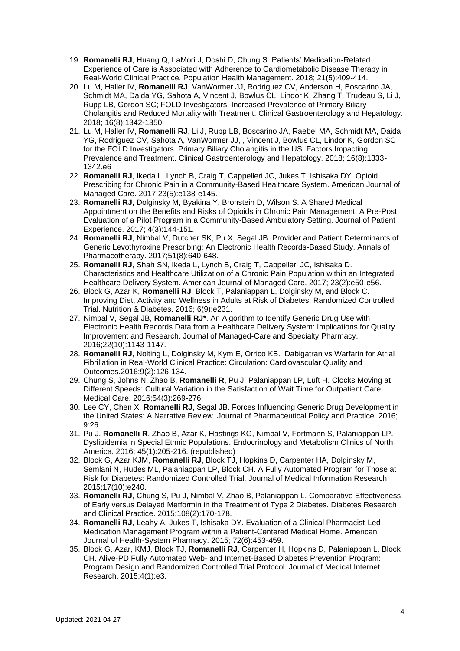- 19. **Romanelli RJ**, Huang Q, LaMori J, Doshi D, Chung S. Patients' Medication-Related Experience of Care is Associated with Adherence to Cardiometabolic Disease Therapy in Real-World Clinical Practice. Population Health Management. 2018; 21(5):409-414.
- 20. Lu M, Haller IV, **Romanelli RJ**, VanWormer JJ, Rodriguez CV, Anderson H, Boscarino JA, Schmidt MA, Daida YG, Sahota A, Vincent J, Bowlus CL, Lindor K, Zhang T, Trudeau S, Li J, Rupp LB, Gordon SC; FOLD Investigators. Increased Prevalence of Primary Biliary Cholangitis and Reduced Mortality with Treatment. Clinical Gastroenterology and Hepatology. 2018; 16(8):1342-1350.
- 21. Lu M, Haller IV, **Romanelli RJ**, Li J, Rupp LB, Boscarino JA, Raebel MA, Schmidt MA, Daida YG, Rodriguez CV, Sahota A, VanWormer JJ, , Vincent J, Bowlus CL, Lindor K, Gordon SC for the FOLD Investigators. Primary Biliary Cholangitis in the US: Factors Impacting Prevalence and Treatment. Clinical Gastroenterology and Hepatology. 2018; 16(8):1333- 1342.e6
- 22. **Romanelli RJ**, Ikeda L, Lynch B, Craig T, Cappelleri JC, Jukes T, Ishisaka DY. Opioid Prescribing for Chronic Pain in a Community-Based Healthcare System. American Journal of Managed Care. 2017;23(5):e138-e145.
- 23. **Romanelli RJ**, Dolginsky M, Byakina Y, Bronstein D, Wilson S. A Shared Medical Appointment on the Benefits and Risks of Opioids in Chronic Pain Management: A Pre-Post Evaluation of a Pilot Program in a Community-Based Ambulatory Setting. Journal of Patient Experience. 2017; 4(3):144-151.
- 24. **Romanelli RJ**, Nimbal V, Dutcher SK, Pu X, Segal JB. Provider and Patient Determinants of Generic Levothyroxine Prescribing: An Electronic Health Records-Based Study. Annals of Pharmacotherapy. 2017;51(8):640-648.
- 25. **Romanelli RJ**, Shah SN, Ikeda L, Lynch B, Craig T, Cappelleri JC, Ishisaka D. Characteristics and Healthcare Utilization of a Chronic Pain Population within an Integrated Healthcare Delivery System. American Journal of Managed Care. 2017; 23(2):e50-e56.
- 26. Block G, Azar K, **Romanelli RJ**, Block T, Palaniappan L, Dolginsky M, and Block C. Improving Diet, Activity and Wellness in Adults at Risk of Diabetes: Randomized Controlled Trial. Nutrition & Diabetes. 2016; 6(9):e231.
- 27. Nimbal V, Segal JB, **Romanelli RJ\***. An Algorithm to Identify Generic Drug Use with Electronic Health Records Data from a Healthcare Delivery System: Implications for Quality Improvement and Research. Journal of Managed-Care and Specialty Pharmacy. 2016;22(10):1143-1147.
- 28. **Romanelli RJ**, Nolting L, Dolginsky M, Kym E, Orrico KB. Dabigatran vs Warfarin for Atrial Fibrillation in Real-World Clinical Practice: Circulation: Cardiovascular Quality and Outcomes.2016;9(2):126-134.
- 29. Chung S, Johns N, Zhao B, **Romanelli R**, Pu J, Palaniappan LP, Luft H. Clocks Moving at Different Speeds: Cultural Variation in the Satisfaction of Wait Time for Outpatient Care. Medical Care. 2016;54(3):269-276.
- 30. Lee CY, Chen X, **Romanelli RJ**, Segal JB. Forces Influencing Generic Drug Development in the United States: A Narrative Review. Journal of Pharmaceutical Policy and Practice. 2016; 9:26.
- 31. Pu J, **Romanelli R**, Zhao B, Azar K, Hastings KG, Nimbal V, Fortmann S, Palaniappan LP. Dyslipidemia in Special Ethnic Populations. Endocrinology and Metabolism Clinics of North America. 2016; 45(1):205-216. (republished)
- 32. Block G, Azar KJM, **Romanelli RJ**, Block TJ, Hopkins D, Carpenter HA, Dolginsky M, Semlani N, Hudes ML, Palaniappan LP, Block CH. A Fully Automated Program for Those at Risk for Diabetes: Randomized Controlled Trial. Journal of Medical Information Research. 2015;17(10):e240.
- 33. **Romanelli RJ**, Chung S, Pu J, Nimbal V, Zhao B, Palaniappan L. Comparative Effectiveness of Early versus Delayed Metformin in the Treatment of Type 2 Diabetes. Diabetes Research and Clinical Practice. 2015;108(2):170-178.
- 34. **Romanelli RJ**, Leahy A, Jukes T, Ishisaka DY. Evaluation of a Clinical Pharmacist-Led Medication Management Program within a Patient-Centered Medical Home. American Journal of Health-System Pharmacy. 2015; 72(6):453-459.
- 35. Block G, Azar, KMJ, Block TJ, **Romanelli RJ**, Carpenter H, Hopkins D, Palaniappan L, Block CH. Alive-PD Fully Automated Web- and Internet-Based Diabetes Prevention Program: Program Design and Randomized Controlled Trial Protocol. Journal of Medical Internet Research. 2015;4(1):e3.